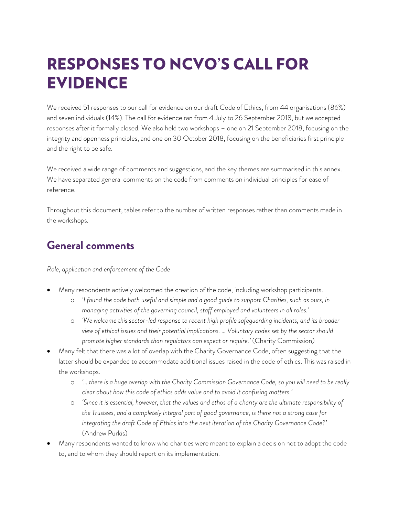# RESPONSES TO NCVO'S CALL FOR EVIDENCE

We received 51 responses to our call for evidence on our draft Code of Ethics, from 44 organisations (86%) and seven individuals (14%). The call for evidence ran from 4 July to 26 September 2018, but we accepted responses after it formally closed. We also held two workshops – one on 21 September 2018, focusing on the integrity and openness principles, and one on 30 October 2018, focusing on the beneficiaries first principle and the right to be safe.

We received a wide range of comments and suggestions, and the key themes are summarised in this annex. We have separated general comments on the code from comments on individual principles for ease of reference.

Throughout this document, tables refer to the number of written responses rather than comments made in the workshops.

#### **General comments**

*Role, application and enforcement of the Code*

- Many respondents actively welcomed the creation of the code, including workshop participants.
	- o *'I found the code both useful and simple and a good guide to support Charities, such as ours, in managing activities of the governing council, staff employed and volunteers in all roles.'*
	- o *'We welcome this sector-led response to recent high profile safeguarding incidents, and its broader view of ethical issues and their potential implications. … Voluntary codes set by the sector should promote higher standards than regulators can expect or require.'* (Charity Commission)
- Many felt that there was a lot of overlap with the Charity Governance Code, often suggesting that the latter should be expanded to accommodate additional issues raised in the code of ethics. This was raised in the workshops.
	- o *'… there is a huge overlap with the Charity Commission Governance Code, so you will need to be really clear about how this code of ethics adds value and to avoid it confusing matters.'*
	- o *'Since it is essential, however, that the values and ethos of a charity are the ultimate responsibility of the Trustees, and a completely integral part of good governance, is there not a strong case for integrating the draft Code of Ethics into the next iteration of the Charity Governance Code?'* (Andrew Purkis)
- Many respondents wanted to know who charities were meant to explain a decision not to adopt the code to, and to whom they should report on its implementation.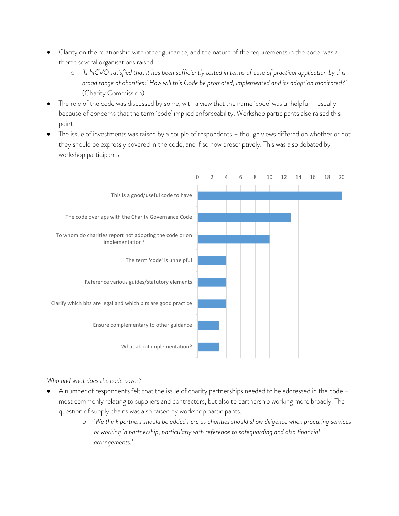- Clarity on the relationship with other guidance, and the nature of the requirements in the code, was a theme several organisations raised.
	- o *'Is NCVO satisfied that it has been sufficiently tested in terms of ease of practical application by this broad range of charities? How will this Code be promoted, implemented and its adoption monitored?'* (Charity Commission)
- The role of the code was discussed by some, with a view that the name 'code' was unhelpful usually because of concerns that the term 'code' implied enforceability. Workshop participants also raised this point.
- The issue of investments was raised by a couple of respondents though views differed on whether or not they should be expressly covered in the code, and if so how prescriptively. This was also debated by workshop participants.



*Who and what does the code cover?*

- A number of respondents felt that the issue of charity partnerships needed to be addressed in the code most commonly relating to suppliers and contractors, but also to partnership working more broadly. The question of supply chains was also raised by workshop participants.
	- o *'We think partners should be added here as charities should show diligence when procuring services or working in partnership, particularly with reference to safeguarding and also financial arrangements.'*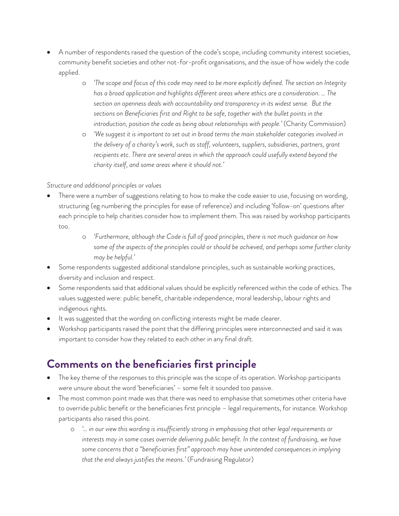- A number of respondents raised the question of the code's scope, including community interest societies, community benefit societies and other not-for-profit organisations, and the issue of how widely the code applied.
	- o *'The scope and focus of this code may need to be more explicitly defined. The section on Integrity has a broad application and highlights different areas where ethics are a consideration. … The section on openness deals with accountability and transparency in its widest sense. But the sections on Beneficiaries first and Right to be safe, together with the bullet points in the introduction, position the code as being about relationships with people.'* (Charity Commission)
	- o *'We suggest it is important to set out in broad terms the main stakeholder categories involved in the delivery of a charity's work, such as staff, volunteers, suppliers, subsidiaries, partners, grant recipients etc. There are several areas in which the approach could usefully extend beyond the charity itself, and some areas where it should not.'*

#### *Structure and additional principles or values*

- There were a number of suggestions relating to how to make the code easier to use, focusing on wording, structuring (eg numbering the principles for ease of reference) and including 'follow-on' questions after each principle to help charities consider how to implement them. This was raised by workshop participants too.
	- o *'Furthermore, although the Code is full of good principles, there is not much guidance on how some of the aspects of the principles could or should be achieved, and perhaps some further clarity may be helpful.'*
- Some respondents suggested additional standalone principles, such as sustainable working practices, diversity and inclusion and respect.
- Some respondents said that additional values should be explicitly referenced within the code of ethics. The values suggested were: public benefit, charitable independence, moral leadership, labour rights and indigenous rights.
- It was suggested that the wording on conflicting interests might be made clearer.
- Workshop participants raised the point that the differing principles were interconnected and said it was important to consider how they related to each other in any final draft.

### **Comments on the beneficiaries first principle**

- The key theme of the responses to this principle was the scope of its operation. Workshop participants were unsure about the word 'beneficiaries' – some felt it sounded too passive.
- The most common point made was that there was need to emphasise that sometimes other criteria have to override public benefit or the beneficiaries first principle – legal requirements, for instance. Workshop participants also raised this point.
	- o *'… in our view this wording is insufficiently strong in emphasising that other legal requirements or interests may in some cases override delivering public benefit. In the context of fundraising, we have some concerns that a "beneficiaries first" approach may have unintended consequences in implying that the end always justifies the means.'* (Fundraising Regulator)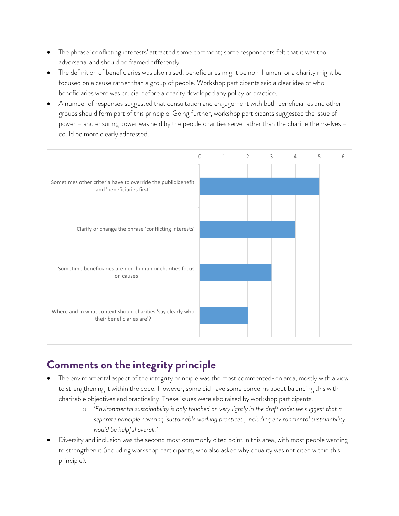- The phrase 'conflicting interests' attracted some comment; some respondents felt that it was too adversarial and should be framed differently.
- The definition of beneficiaries was also raised: beneficiaries might be non-human, or a charity might be focused on a cause rather than a group of people. Workshop participants said a clear idea of who beneficiaries were was crucial before a charity developed any policy or practice.
- A number of responses suggested that consultation and engagement with both beneficiaries and other groups should form part of this principle. Going further, workshop participants suggested the issue of power – and ensuring power was held by the people charities serve rather than the charitie themselves – could be more clearly addressed.



#### **Comments on the integrity principle**

- The environmental aspect of the integrity principle was the most commented-on area, mostly with a view to strengthening it within the code. However, some did have some concerns about balancing this with charitable objectives and practicality. These issues were also raised by workshop participants.
	- o *'Environmental sustainability is only touched on very lightly in the draft code: we suggest that a separate principle covering 'sustainable working practices', including environmental sustainability would be helpful overall.'*
- Diversity and inclusion was the second most commonly cited point in this area, with most people wanting to strengthen it (including workshop participants, who also asked why equality was not cited within this principle).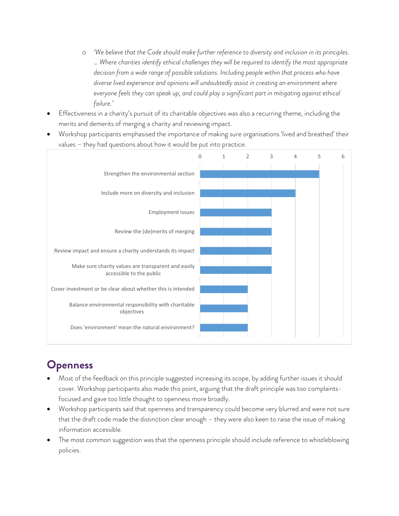- o *'We believe that the Code should make further reference to diversity and inclusion in its principles. … Where charities identify ethical challenges they will be required to identify the most appropriate decision from a wide range of possible solutions. Including people within that process who have diverse lived experience and opinions will undoubtedly assist in creating an environment where everyone feels they can speak up, and could play a significant part in mitigating against ethical failure.'*
- Effectiveness in a charity's pursuit of its charitable objectives was also a recurring theme, including the merits and demerits of merging a charity and reviewing impact.
- Workshop participants emphasised the importance of making sure organisations 'lived and breathed' their values – they had questions about how it would be put into practice.



## **Openness**

- Most of the feedback on this principle suggested increasing its scope, by adding further issues it should cover. Workshop participants also made this point, arguing that the draft principle was too complaintsfocused and gave too little thought to openness more broadly.
- Workshop participants said that openness and transparency could become very blurred and were not sure that the draft code made the distinction clear enough – they were also keen to raise the issue of making information accessible.
- The most common suggestion was that the openness principle should include reference to whistleblowing policies.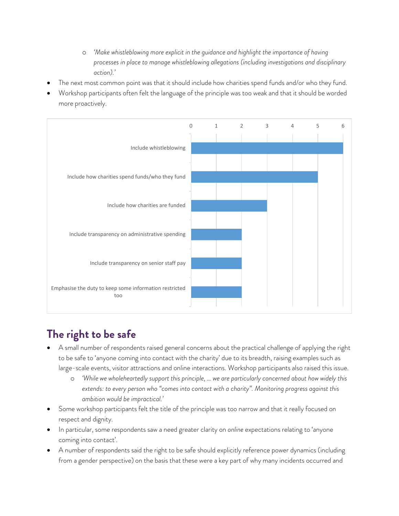- o *'Make whistleblowing more explicit in the guidance and highlight the importance of having processes in place to manage whistleblowing allegations (including investigations and disciplinary action).'*
- The next most common point was that it should include how charities spend funds and/or who they fund.
- Workshop participants often felt the language of the principle was too weak and that it should be worded more proactively.



#### **The right to be safe**

- A small number of respondents raised general concerns about the practical challenge of applying the right to be safe to 'anyone coming into contact with the charity' due to its breadth, raising examples such as large-scale events, visitor attractions and online interactions. Workshop participants also raised this issue.
	- o *'While we wholeheartedly support this principle, … we are particularly concerned about how widely this extends: to every person who "comes into contact with a charity". Monitoring progress against this ambition would be impractical.'*
- Some workshop participants felt the title of the principle was too narrow and that it really focused on respect and dignity.
- In particular, some respondents saw a need greater clarity on *online* expectations relating to 'anyone coming into contact'.
- A number of respondents said the right to be safe should explicitly reference power dynamics (including from a gender perspective) on the basis that these were a key part of why many incidents occurred and